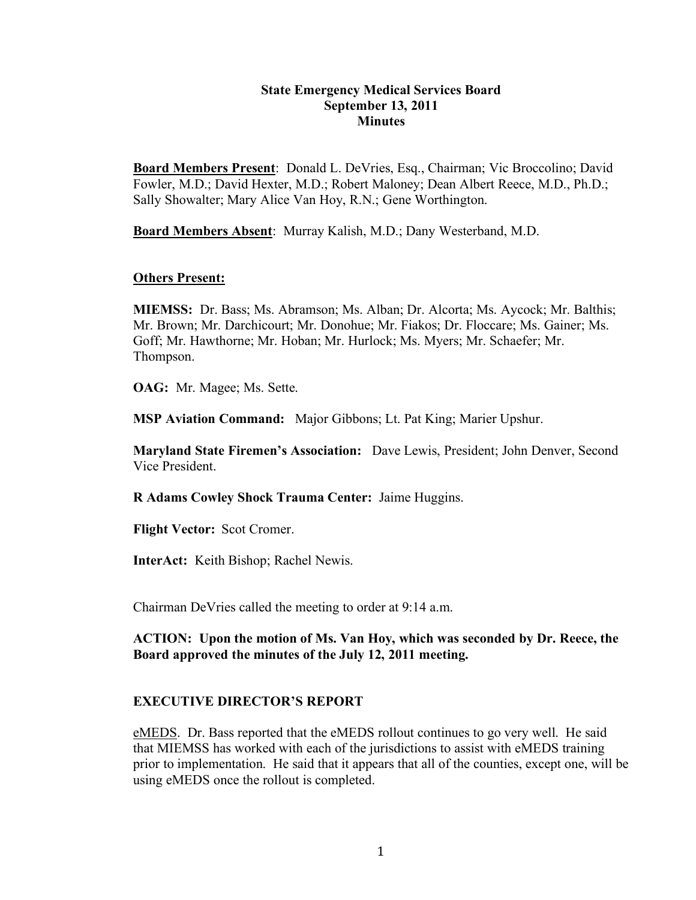#### **State Emergency Medical Services Board September 13, 2011 Minutes**

**Board Members Present**: Donald L. DeVries, Esq., Chairman; Vic Broccolino; David Fowler, M.D.; David Hexter, M.D.; Robert Maloney; Dean Albert Reece, M.D., Ph.D.; Sally Showalter; Mary Alice Van Hoy, R.N.; Gene Worthington.

**Board Members Absent**: Murray Kalish, M.D.; Dany Westerband, M.D.

#### **Others Present:**

**MIEMSS:** Dr. Bass; Ms. Abramson; Ms. Alban; Dr. Alcorta; Ms. Aycock; Mr. Balthis; Mr. Brown; Mr. Darchicourt; Mr. Donohue; Mr. Fiakos; Dr. Floccare; Ms. Gainer; Ms. Goff; Mr. Hawthorne; Mr. Hoban; Mr. Hurlock; Ms. Myers; Mr. Schaefer; Mr. Thompson.

**OAG:** Mr. Magee; Ms. Sette.

**MSP Aviation Command:** Major Gibbons; Lt. Pat King; Marier Upshur.

**Maryland State Firemen's Association:** Dave Lewis, President; John Denver, Second Vice President.

**R Adams Cowley Shock Trauma Center:** Jaime Huggins.

**Flight Vector:** Scot Cromer.

**InterAct:** Keith Bishop; Rachel Newis.

Chairman DeVries called the meeting to order at 9:14 a.m.

**ACTION: Upon the motion of Ms. Van Hoy, which was seconded by Dr. Reece, the Board approved the minutes of the July 12, 2011 meeting.**

#### **EXECUTIVE DIRECTOR'S REPORT**

eMEDS. Dr. Bass reported that the eMEDS rollout continues to go very well. He said that MIEMSS has worked with each of the jurisdictions to assist with eMEDS training prior to implementation. He said that it appears that all of the counties, except one, will be using eMEDS once the rollout is completed.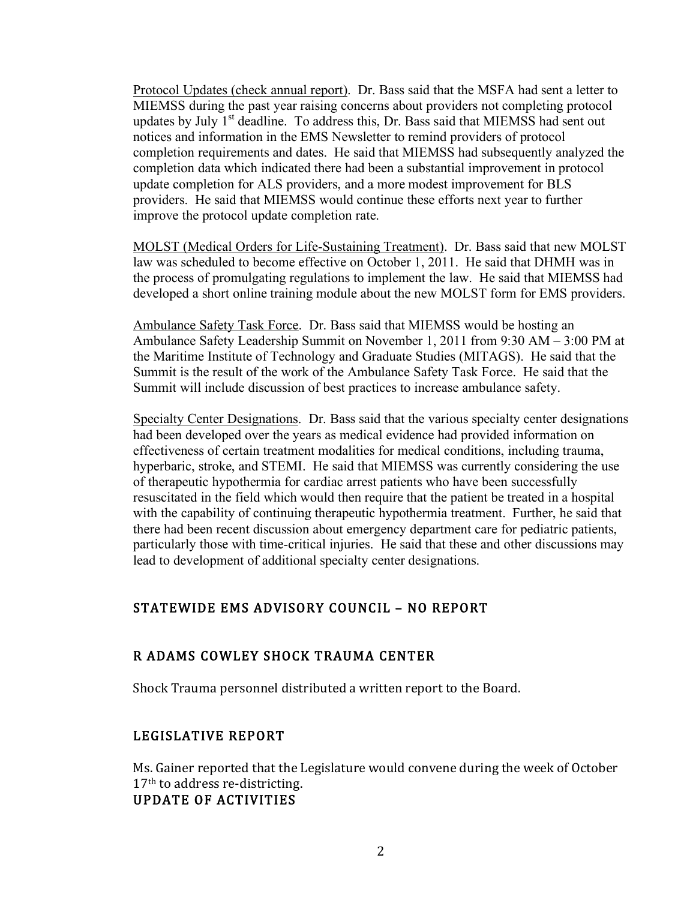Protocol Updates (check annual report). Dr. Bass said that the MSFA had sent a letter to MIEMSS during the past year raising concerns about providers not completing protocol updates by July  $1<sup>st</sup>$  deadline. To address this, Dr. Bass said that MIEMSS had sent out notices and information in the EMS Newsletter to remind providers of protocol completion requirements and dates. He said that MIEMSS had subsequently analyzed the completion data which indicated there had been a substantial improvement in protocol update completion for ALS providers, and a more modest improvement for BLS providers. He said that MIEMSS would continue these efforts next year to further improve the protocol update completion rate.

MOLST (Medical Orders for Life-Sustaining Treatment). Dr. Bass said that new MOLST law was scheduled to become effective on October 1, 2011. He said that DHMH was in the process of promulgating regulations to implement the law. He said that MIEMSS had developed a short online training module about the new MOLST form for EMS providers.

Ambulance Safety Task Force. Dr. Bass said that MIEMSS would be hosting an Ambulance Safety Leadership Summit on November 1, 2011 from 9:30 AM – 3:00 PM at the Maritime Institute of Technology and Graduate Studies (MITAGS). He said that the Summit is the result of the work of the Ambulance Safety Task Force. He said that the Summit will include discussion of best practices to increase ambulance safety.

Specialty Center Designations. Dr. Bass said that the various specialty center designations had been developed over the years as medical evidence had provided information on effectiveness of certain treatment modalities for medical conditions, including trauma, hyperbaric, stroke, and STEMI. He said that MIEMSS was currently considering the use of therapeutic hypothermia for cardiac arrest patients who have been successfully resuscitated in the field which would then require that the patient be treated in a hospital with the capability of continuing therapeutic hypothermia treatment. Further, he said that there had been recent discussion about emergency department care for pediatric patients, particularly those with time-critical injuries. He said that these and other discussions may lead to development of additional specialty center designations.

# STATEWIDE EMS ADVISORY COUNCIL – NO REPORT

#### R ADAMS COWLEY SHOCK TRAUMA CENTER

Shock Trauma personnel distributed a written report to the Board.

# LEGISLATIVE REPORT

Ms. Gainer reported that the Legislature would convene during the week of October  $17<sup>th</sup>$  to address re-districting. UPDATE OF ACTIVITIES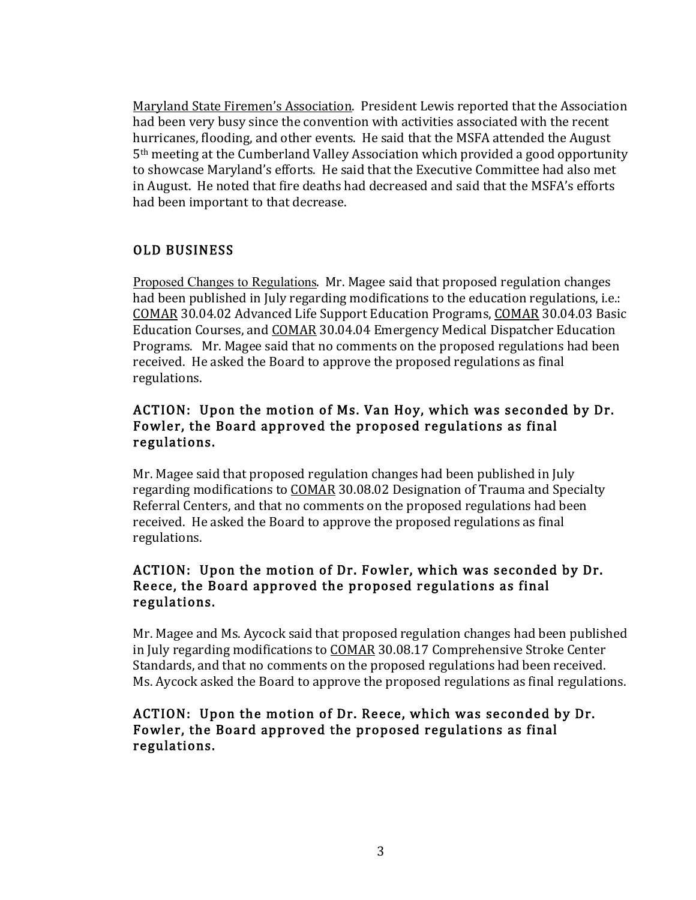Maryland State Firemen's Association. President Lewis reported that the Association had been very busy since the convention with activities associated with the recent hurricanes, flooding, and other events. He said that the MSFA attended the August  $5<sup>th</sup>$  meeting at the Cumberland Valley Association which provided a good opportunity to showcase Maryland's efforts. He said that the Executive Committee had also met in August. He noted that fire deaths had decreased and said that the MSFA's efforts had been important to that decrease.

# OLD BUSINESS

Proposed Changes to Regulations. Mr. Magee said that proposed regulation changes had been published in July regarding modifications to the education regulations, i.e.: COMAR 30.04.02 Advanced Life Support Education Programs, COMAR 30.04.03 Basic Education Courses, and COMAR 30.04.04 Emergency Medical Dispatcher Education Programs. Mr. Magee said that no comments on the proposed regulations had been received. He asked the Board to approve the proposed regulations as final regulations.

## ACTION: Upon the motion of Ms. Van Hoy, which was seconded by Dr. Fowler, the Board approved the proposed regulations as final regulations. !

Mr. Magee said that proposed regulation changes had been published in July regarding modifications to COMAR 30.08.02 Designation of Trauma and Specialty Referral Centers, and that no comments on the proposed regulations had been received. He asked the Board to approve the proposed regulations as final regulations.

### ACTION: Upon the motion of Dr. Fowler, which was seconded by Dr. Reece, the Board approved the proposed regulations as final regulations.

Mr. Magee and Ms. Aycock said that proposed regulation changes had been published in July regarding modifications to COMAR 30.08.17 Comprehensive Stroke Center Standards, and that no comments on the proposed regulations had been received. Ms. Aycock asked the Board to approve the proposed regulations as final regulations.

### ACTION: Upon the motion of Dr. Reece, which was seconded by Dr. Fowler, the Board approved the proposed regulations as final regulations.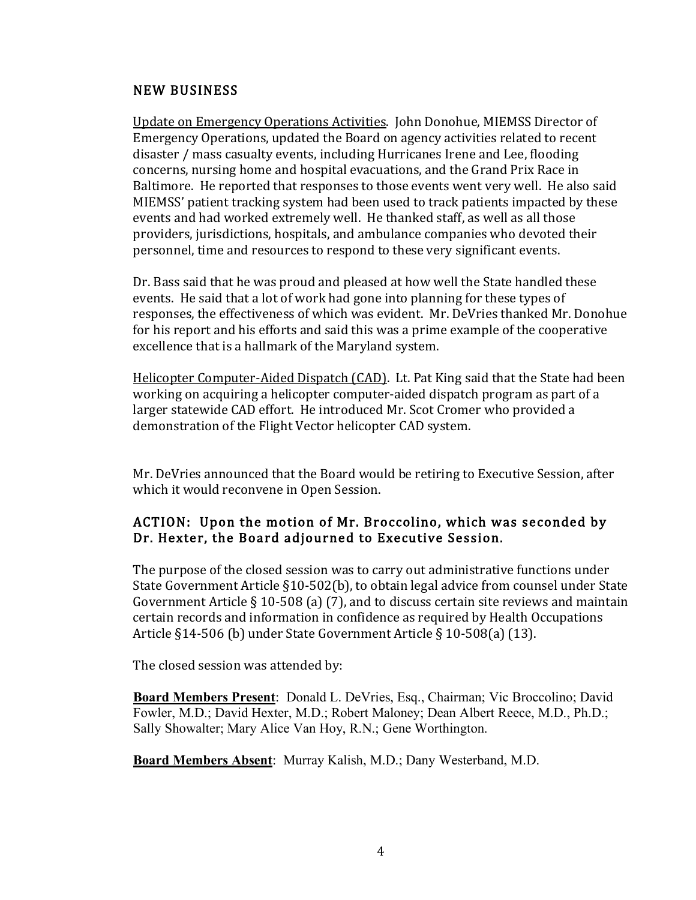#### NEW BUSINESS

Update on Emergency Operations Activities. John Donohue, MIEMSS Director of Emergency Operations, updated the Board on agency activities related to recent disaster / mass casualty events, including Hurricanes Irene and Lee, flooding concerns, nursing home and hospital evacuations, and the Grand Prix Race in Baltimore. He reported that responses to those events went very well. He also said MIEMSS' patient tracking system had been used to track patients impacted by these events and had worked extremely well. He thanked staff, as well as all those providers, jurisdictions, hospitals, and ambulance companies who devoted their personnel, time and resources to respond to these very significant events.

Dr. Bass said that he was proud and pleased at how well the State handled these events. He said that a lot of work had gone into planning for these types of responses, the effectiveness of which was evident. Mr. DeVries thanked Mr. Donohue for his report and his efforts and said this was a prime example of the cooperative excellence that is a hallmark of the Maryland system.

Helicopter Computer-Aided Dispatch (CAD). Lt. Pat King said that the State had been working on acquiring a helicopter computer-aided dispatch program as part of a larger statewide CAD effort. He introduced Mr. Scot Cromer who provided a demonstration of the Flight Vector helicopter CAD system.

Mr. DeVries announced that the Board would be retiring to Executive Session, after which it would reconvene in Open Session.

### ACTION: Upon the motion of Mr. Broccolino, which was seconded by Dr. Hexter, the Board adjourned to Executive Session.

The purpose of the closed session was to carry out administrative functions under State Government Article  $\S10-502(b)$ , to obtain legal advice from counsel under State Government Article § 10-508 (a) (7), and to discuss certain site reviews and maintain certain records and information in confidence as required by Health Occupations Article §14-506 (b) under State Government Article § 10-508(a) (13).

The closed session was attended by:

**Board Members Present**: Donald L. DeVries, Esq., Chairman; Vic Broccolino; David Fowler, M.D.; David Hexter, M.D.; Robert Maloney; Dean Albert Reece, M.D., Ph.D.; Sally Showalter; Mary Alice Van Hoy, R.N.; Gene Worthington.

**Board Members Absent**: Murray Kalish, M.D.; Dany Westerband, M.D.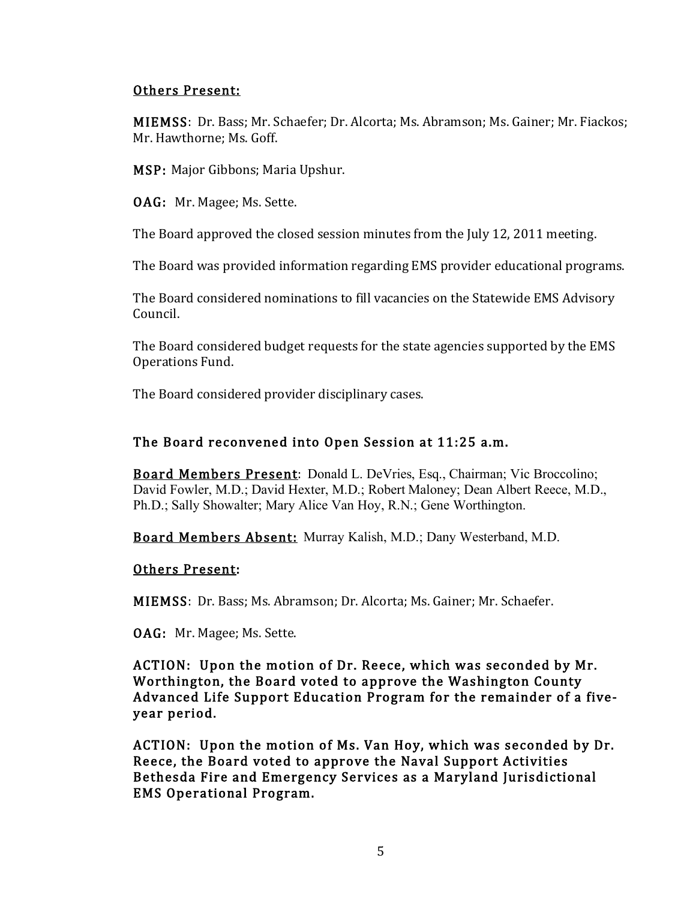### Others Present:

MIEMSS: Dr. Bass; Mr. Schaefer; Dr. Alcorta; Ms. Abramson; Ms. Gainer; Mr. Fiackos; Mr. Hawthorne: Ms. Goff.

MSP: Major Gibbons; Maria Upshur.

OAG: Mr. Magee; Ms. Sette.

The Board approved the closed session minutes from the July 12, 2011 meeting.

The Board was provided information regarding EMS provider educational programs.

The Board considered nominations to fill vacancies on the Statewide EMS Advisory Council.

The Board considered budget requests for the state agencies supported by the EMS Operations Fund.

The Board considered provider disciplinary cases.

# The Board reconvened into Open Session at 11:25 a.m.

Board Members Present: Donald L. DeVries, Esq., Chairman; Vic Broccolino; David Fowler, M.D.; David Hexter, M.D.; Robert Maloney; Dean Albert Reece, M.D., Ph.D.; Sally Showalter; Mary Alice Van Hoy, R.N.; Gene Worthington.

Board Members Absent: Murray Kalish, M.D.; Dany Westerband, M.D.

# Others Present:

MIEMSS: Dr. Bass; Ms. Abramson; Dr. Alcorta; Ms. Gainer; Mr. Schaefer.

OAG: Mr. Magee; Ms. Sette.

ACTION: Upon the motion of Dr. Reece, which was seconded by Mr. Worthington, the Board voted to approve the Washington County Advanced Life Support Education Program for the remainder of a fiveyear period.

ACTION: Upon the motion of Ms. Van Hoy, which was seconded by Dr. Reece, the Board voted to approve the Naval Support Activities Bethesda Fire and Emergency Services as a Maryland Jurisdictional EMS!Operational!Program.